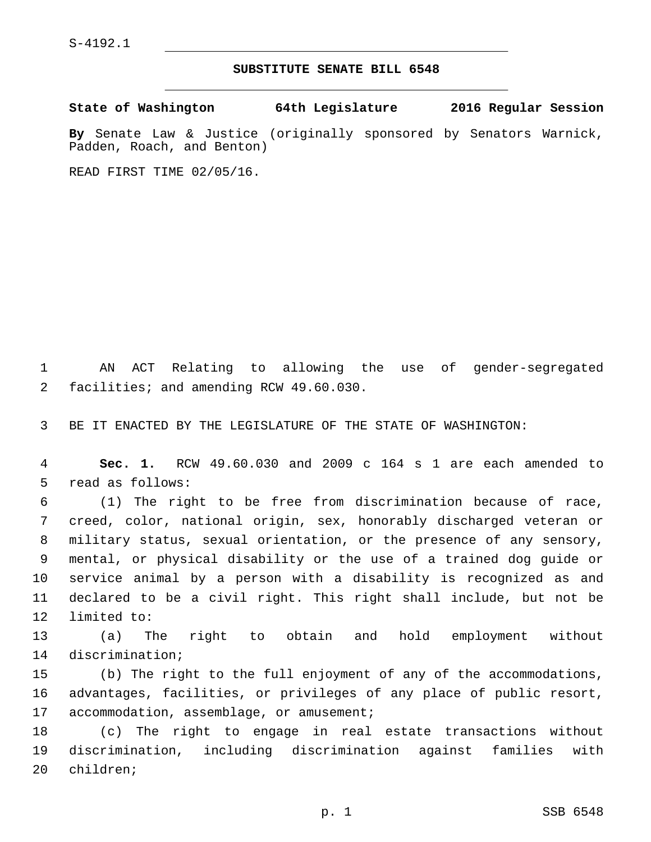## **SUBSTITUTE SENATE BILL 6548**

**State of Washington 64th Legislature 2016 Regular Session**

**By** Senate Law & Justice (originally sponsored by Senators Warnick, Padden, Roach, and Benton)

READ FIRST TIME 02/05/16.

1 AN ACT Relating to allowing the use of gender-segregated facilities; and amending RCW 49.60.030.2

3 BE IT ENACTED BY THE LEGISLATURE OF THE STATE OF WASHINGTON:

4 **Sec. 1.** RCW 49.60.030 and 2009 c 164 s 1 are each amended to 5 read as follows:

 (1) The right to be free from discrimination because of race, creed, color, national origin, sex, honorably discharged veteran or military status, sexual orientation, or the presence of any sensory, mental, or physical disability or the use of a trained dog guide or service animal by a person with a disability is recognized as and declared to be a civil right. This right shall include, but not be 12 limited to:

13 (a) The right to obtain and hold employment without 14 discrimination;

15 (b) The right to the full enjoyment of any of the accommodations, 16 advantages, facilities, or privileges of any place of public resort, 17 accommodation, assemblage, or amusement;

18 (c) The right to engage in real estate transactions without 19 discrimination, including discrimination against families with 20 children;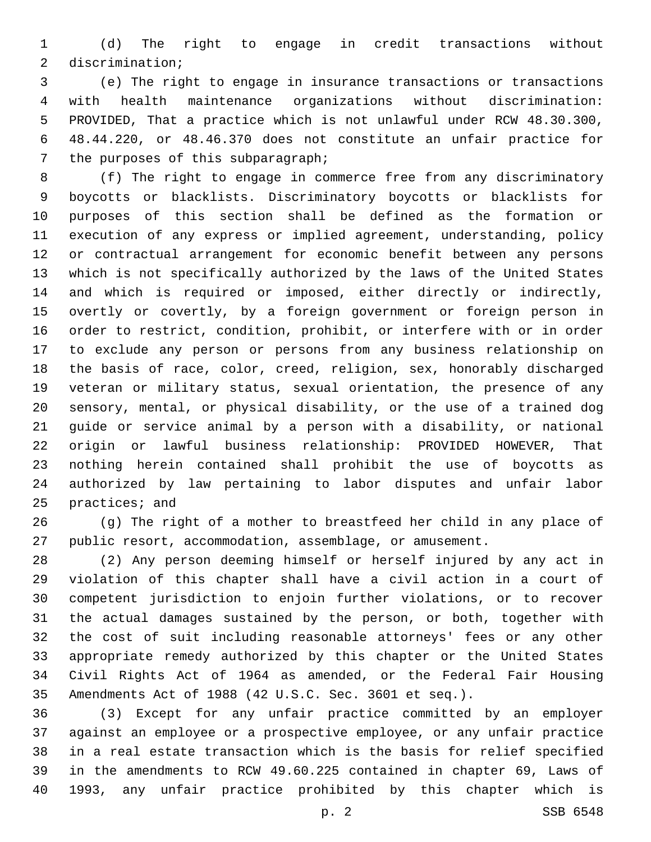(d) The right to engage in credit transactions without 2 discrimination;

 (e) The right to engage in insurance transactions or transactions with health maintenance organizations without discrimination: PROVIDED, That a practice which is not unlawful under RCW 48.30.300, 48.44.220, or 48.46.370 does not constitute an unfair practice for 7 the purposes of this subparagraph;

 (f) The right to engage in commerce free from any discriminatory boycotts or blacklists. Discriminatory boycotts or blacklists for purposes of this section shall be defined as the formation or execution of any express or implied agreement, understanding, policy or contractual arrangement for economic benefit between any persons which is not specifically authorized by the laws of the United States and which is required or imposed, either directly or indirectly, overtly or covertly, by a foreign government or foreign person in order to restrict, condition, prohibit, or interfere with or in order to exclude any person or persons from any business relationship on the basis of race, color, creed, religion, sex, honorably discharged veteran or military status, sexual orientation, the presence of any sensory, mental, or physical disability, or the use of a trained dog guide or service animal by a person with a disability, or national origin or lawful business relationship: PROVIDED HOWEVER, That nothing herein contained shall prohibit the use of boycotts as authorized by law pertaining to labor disputes and unfair labor 25 practices; and

 (g) The right of a mother to breastfeed her child in any place of public resort, accommodation, assemblage, or amusement.

 (2) Any person deeming himself or herself injured by any act in violation of this chapter shall have a civil action in a court of competent jurisdiction to enjoin further violations, or to recover the actual damages sustained by the person, or both, together with the cost of suit including reasonable attorneys' fees or any other appropriate remedy authorized by this chapter or the United States Civil Rights Act of 1964 as amended, or the Federal Fair Housing Amendments Act of 1988 (42 U.S.C. Sec. 3601 et seq.).

 (3) Except for any unfair practice committed by an employer against an employee or a prospective employee, or any unfair practice in a real estate transaction which is the basis for relief specified in the amendments to RCW 49.60.225 contained in chapter 69, Laws of 1993, any unfair practice prohibited by this chapter which is